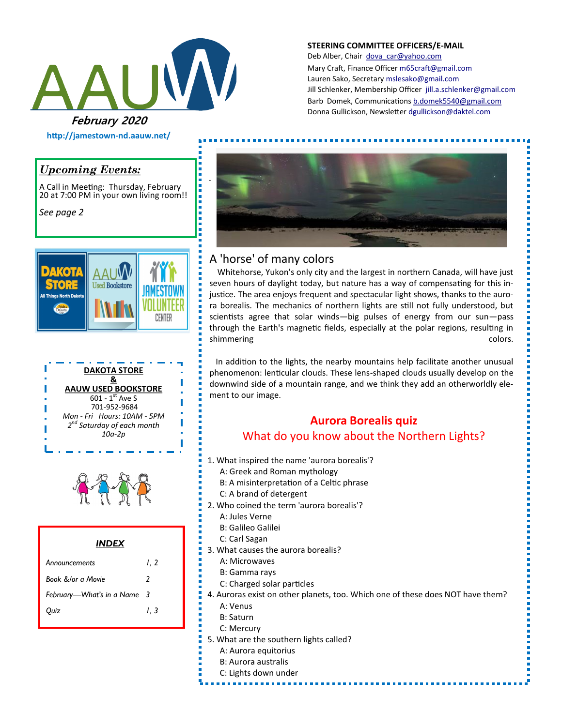

#### **STEERING COMMITTEE OFFICERS/E-MAIL**

Deb Alber, Chair [dova\\_car@yahoo.com](mailto:dova_car@yahoo.com) Mary Craft, Finance Officer [m65craft@gmail.com](mailto:m65craft@gmail.com) Lauren Sako, Secretary [mslesako@gmail.com](mailto:mslesako@gmail.com) Jill Schlenker, Membership Officer [jill.a.schlenker@gmail.com](mailto:jill.a.schlenker@gmail.com) Barb Domek, Communications [b.domek5540@gmail.com](mailto:b.domek5540@gmail.com) Donna Gullickson, Newsletter [dgullickson@daktel.com](mailto:dgullickson@daktel.com)

## *Upcoming Events:*

A Call in Meeting: Thursday, February 20 at 7:00 PM in your own living room!!

**http://jamestown-nd.aauw.net/** 

*See page 2*







#### *INDEX*

| Announcements               | I. 2 |
|-----------------------------|------|
| Book &/or a Movie           | 2    |
| February-What's in a Name 3 |      |
| Ouiz                        | I. 3 |



# A 'horse' of many colors

,,,,,,,,,,,,,,,,,,,,

 Whitehorse, Yukon's only city and the largest in northern Canada, will have just seven hours of daylight today, but nature has a way of compensating for this injustice. The area enjoys frequent and spectacular light shows, thanks to the aurora borealis. The mechanics of northern lights are still not fully understood, but scientists agree that solar winds—big pulses of energy from our sun—pass through the Earth's magnetic fields, especially at the polar regions, resulting in shimmering colors.

 In addition to the lights, the nearby mountains help facilitate another unusual phenomenon: lenticular clouds. These lens-shaped clouds usually develop on the downwind side of a mountain range, and we think they add an otherworldly element to our image.

# **Aurora Borealis quiz**

### What do you know about the Northern Lights?

- 1. What inspired the name 'aurora borealis'?
	- A: Greek and Roman mythology
	- B: A misinterpretation of a Celtic phrase
	- C: A brand of detergent
- 2. Who coined the term 'aurora borealis'?
	- A: Jules Verne
	- B: Galileo Galilei
	- C: Carl Sagan
- 3. What causes the aurora borealis?
	- A: Microwaves
	- B: Gamma rays
	- C: Charged solar particles
- 4. Auroras exist on other planets, too. Which one of these does NOT have them?
- A: Venus
- B: Saturn
- C: Mercury
- 5. What are the southern lights called?
	- A: Aurora equitorius
	- B: Aurora australis
	- C: Lights down under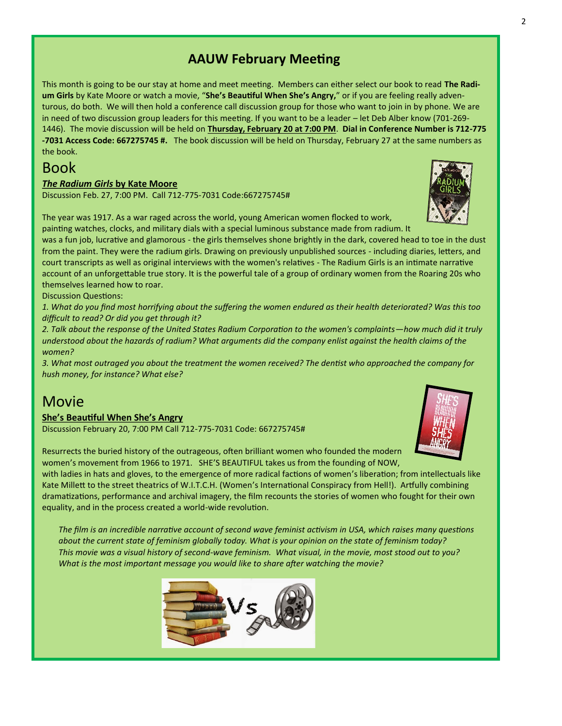# **AAUW February Meeting**

This month is going to be our stay at home and meet meeting. Members can either select our book to read **The Radium Girls** by Kate Moore or watch a movie, "**She's Beautiful When She's Angry,**" or if you are feeling really adventurous, do both. We will then hold a conference call discussion group for those who want to join in by phone. We are in need of two discussion group leaders for this meeting. If you want to be a leader – let Deb Alber know (701-269- 1446). The movie discussion will be held on **Thursday, February 20 at 7:00 PM**. **Dial in Conference Number is 712-775 -7031 Access Code: 667275745 #.** The book discussion will be held on Thursday, February 27 at the same numbers as the book.

# Book

#### *The Radium Girls* **by Kate Moore**

Discussion Feb. 27, 7:00 PM. Call 712-775-7031 Code:667275745#

The year was 1917. As a war raged across the world, young American women flocked to work,

painting watches, clocks, and military dials with a special luminous substance made from radium. It was a fun job, lucrative and glamorous - the girls themselves shone brightly in the dark, covered head to toe in the dust from the paint. They were the radium girls. Drawing on previously unpublished sources - including diaries, letters, and court transcripts as well as original interviews with the women's relatives - The Radium Girls is an intimate narrative account of an unforgettable true story. It is the powerful tale of a group of ordinary women from the Roaring 20s who themselves learned how to roar.

Discussion Questions:

*1. What do you find most horrifying about the suffering the women endured as their health deteriorated? Was this too difficult to read? Or did you get through it?*

*2. Talk about the response of the United States Radium Corporation to the women's complaints—how much did it truly understood about the hazards of radium? What arguments did the company enlist against the health claims of the women?*

*3. What most outraged you about the treatment the women received? The dentist who approached the company for hush money, for instance? What else?*

# Movie

#### **She's Beautiful When She's Angry**

Discussion February 20, 7:00 PM Call 712-775-7031 Code: 667275745#

Resurrects the buried history of the outrageous, often brilliant women who founded the modern women's movement from 1966 to 1971. SHE'S BEAUTIFUL takes us from the founding of NOW,

with ladies in hats and gloves, to the emergence of more radical factions of women's liberation; from intellectuals like Kate Millett to the street theatrics of W.I.T.C.H. (Women's International Conspiracy from Hell!). Artfully combining dramatizations, performance and archival imagery, the film recounts the stories of women who fought for their own equality, and in the process created a world-wide revolution.

*The film is an incredible narrative account of second wave feminist activism in USA, which raises many questions about the current state of feminism globally today. What is your opinion on the state of feminism today? This movie was a visual history of second-wave feminism. What visual, in the movie, most stood out to you? What is the most important message you would like to share after watching the movie?*